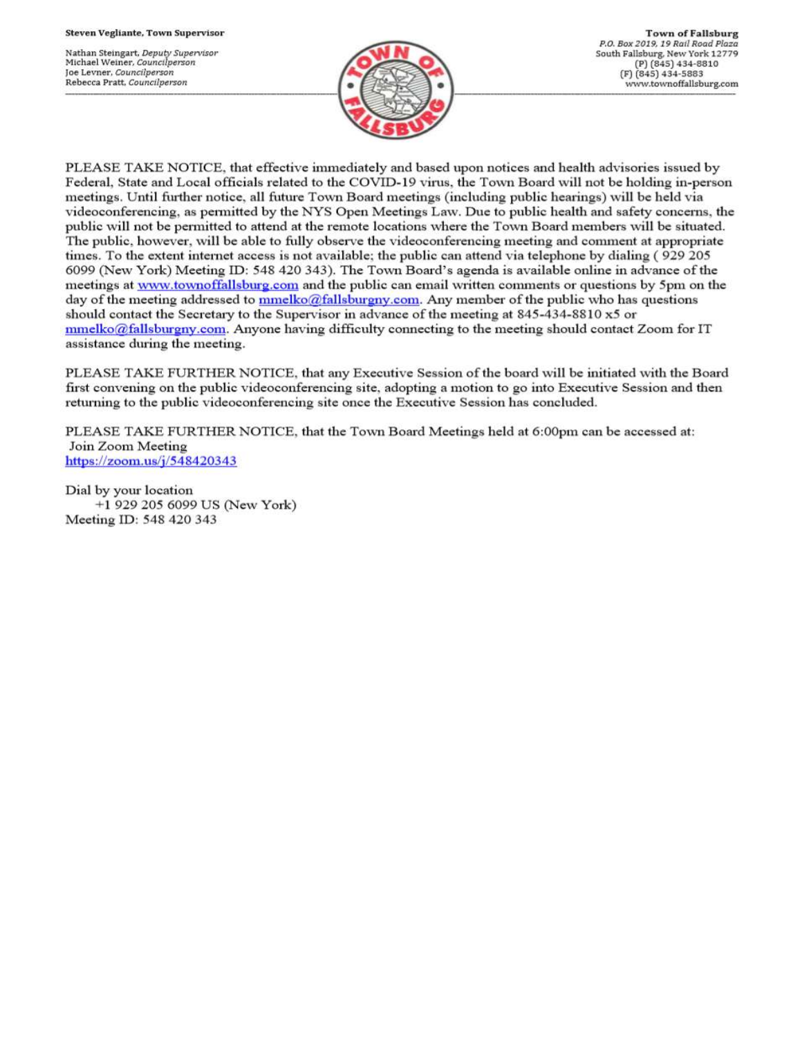Nathan Steingart, Deputy Supervisor Michael Weiner, Councilperson Joe Levner, Councilperson Rebecca Pratt, Councilperson



PLEASE TAKE NOTICE, that effective immediately and based upon notices and health advisories issued by Federal, State and Local officials related to the COVID-19 virus, the Town Board will not be holding in-person meetings. Until further notice, all future Town Board meetings (including public hearings) will be held via videoconferencing, as permitted by the NYS Open Meetings Law. Due to public health and safety concerns, the public will not be permitted to attend at the remote locations where the Town Board members will be situated. The public, however, will be able to fully observe the videoconferencing meeting and comment at appropriate times. To the extent internet access is not available; the public can attend via telephone by dialing (929 205 6099 (New York) Meeting ID: 548 420 343). The Town Board's agenda is available online in advance of the meetings at www.townoffallsburg.com and the public can email written comments or questions by 5pm on the day of the meeting addressed to  $\frac{mmelko@fallsburgny.com}{mclubuygny.com}$ . Any member of the public who has questions should contact the Secretary to the Supervisor in advance of the meeting at 845-434-8810 x5 or  $mmelko@fallsburgny.com.$  Anyone having difficulty connecting to the meeting should contact Zoom for IT assistance during the meeting.

PLEASE TAKE FURTHER NOTICE, that any Executive Session of the board will be initiated with the Board first convening on the public videoconferencing site, adopting a motion to go into Executive Session and then returning to the public videoconferencing site once the Executive Session has concluded.

PLEASE TAKE FURTHER NOTICE, that the Town Board Meetings held at 6:00pm can be accessed at: Join Zoom Meeting https://zoom.us/j/548420343

Dial by your location +1 929 205 6099 US (New York) Meeting ID: 548 420 343